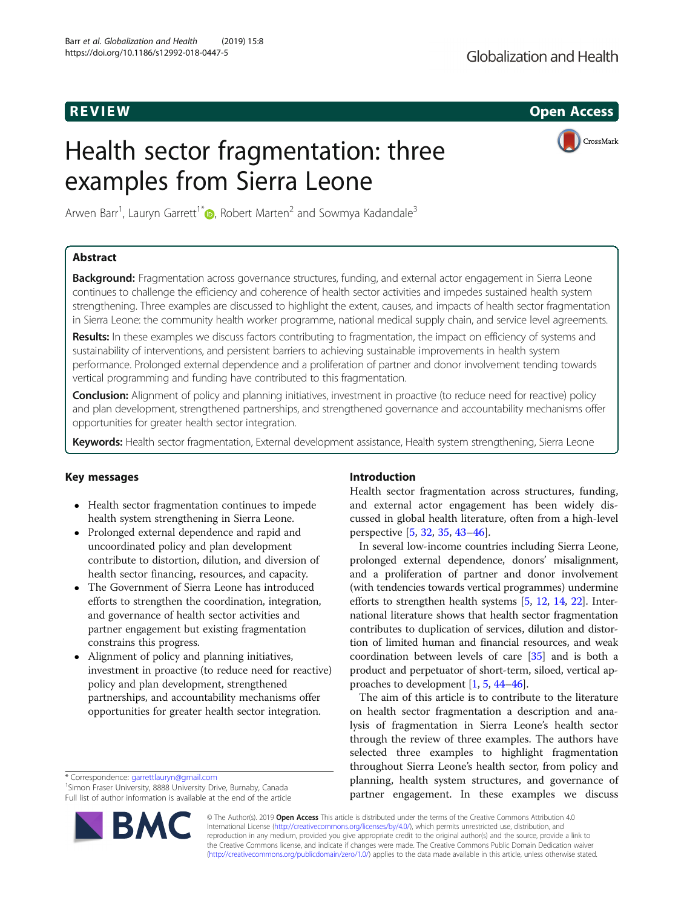R EVI EW Open Access

# Health sector fragmentation: three examples from Sierra Leone



Arwen Barr<sup>1</sup>[,](http://orcid.org/0000-0002-1541-4762) Lauryn Garrett<sup>1\*</sup> , Robert Marten<sup>2</sup> and Sowmya Kadandale<sup>3</sup>

# Abstract

Background: Fragmentation across governance structures, funding, and external actor engagement in Sierra Leone continues to challenge the efficiency and coherence of health sector activities and impedes sustained health system strengthening. Three examples are discussed to highlight the extent, causes, and impacts of health sector fragmentation in Sierra Leone: the community health worker programme, national medical supply chain, and service level agreements.

Results: In these examples we discuss factors contributing to fragmentation, the impact on efficiency of systems and sustainability of interventions, and persistent barriers to achieving sustainable improvements in health system performance. Prolonged external dependence and a proliferation of partner and donor involvement tending towards vertical programming and funding have contributed to this fragmentation.

**Conclusion:** Alignment of policy and planning initiatives, investment in proactive (to reduce need for reactive) policy and plan development, strengthened partnerships, and strengthened governance and accountability mechanisms offer opportunities for greater health sector integration.

Keywords: Health sector fragmentation, External development assistance, Health system strengthening, Sierra Leone

# Key messages

- Health sector fragmentation continues to impede health system strengthening in Sierra Leone.
- Prolonged external dependence and rapid and uncoordinated policy and plan development contribute to distortion, dilution, and diversion of health sector financing, resources, and capacity.
- The Government of Sierra Leone has introduced efforts to strengthen the coordination, integration, and governance of health sector activities and partner engagement but existing fragmentation constrains this progress.
- Alignment of policy and planning initiatives, investment in proactive (to reduce need for reactive) policy and plan development, strengthened partnerships, and accountability mechanisms offer opportunities for greater health sector integration.

\* Correspondence: [garrettlauryn@gmail.com](mailto:garrettlauryn@gmail.com) <sup>1</sup>

<sup>1</sup> Simon Fraser University, 8888 University Drive, Burnaby, Canada Full list of author information is available at the end of the article



Health sector fragmentation across structures, funding, and external actor engagement has been widely discussed in global health literature, often from a high-level perspective [[5,](#page-6-0) [32](#page-7-0), [35](#page-7-0), [43](#page-7-0)–[46](#page-7-0)].

In several low-income countries including Sierra Leone, prolonged external dependence, donors' misalignment, and a proliferation of partner and donor involvement (with tendencies towards vertical programmes) undermine efforts to strengthen health systems [[5,](#page-6-0) [12,](#page-6-0) [14,](#page-6-0) [22](#page-6-0)]. International literature shows that health sector fragmentation contributes to duplication of services, dilution and distortion of limited human and financial resources, and weak coordination between levels of care [[35](#page-7-0)] and is both a product and perpetuator of short-term, siloed, vertical approaches to development [\[1,](#page-6-0) [5](#page-6-0), [44](#page-7-0)–[46](#page-7-0)].

The aim of this article is to contribute to the literature on health sector fragmentation a description and analysis of fragmentation in Sierra Leone's health sector through the review of three examples. The authors have selected three examples to highlight fragmentation throughout Sierra Leone's health sector, from policy and planning, health system structures, and governance of partner engagement. In these examples we discuss

**BM** 

© The Author(s). 2019 Open Access This article is distributed under the terms of the Creative Commons Attribution 4.0 International License [\(http://creativecommons.org/licenses/by/4.0/](http://creativecommons.org/licenses/by/4.0/)), which permits unrestricted use, distribution, and reproduction in any medium, provided you give appropriate credit to the original author(s) and the source, provide a link to the Creative Commons license, and indicate if changes were made. The Creative Commons Public Domain Dedication waiver [\(http://creativecommons.org/publicdomain/zero/1.0/](http://creativecommons.org/publicdomain/zero/1.0/)) applies to the data made available in this article, unless otherwise stated.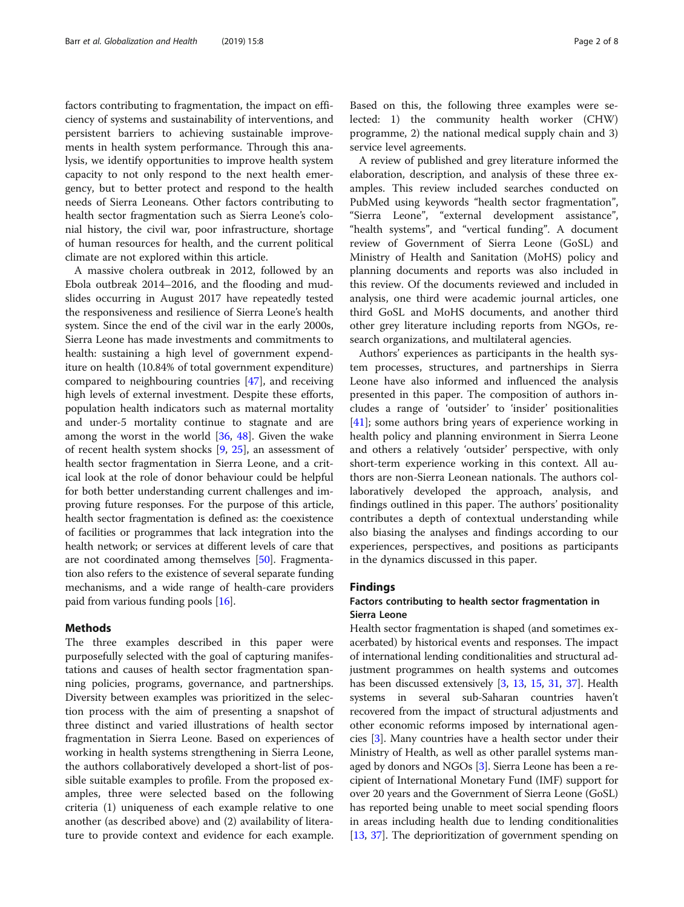factors contributing to fragmentation, the impact on efficiency of systems and sustainability of interventions, and persistent barriers to achieving sustainable improvements in health system performance. Through this analysis, we identify opportunities to improve health system capacity to not only respond to the next health emergency, but to better protect and respond to the health needs of Sierra Leoneans. Other factors contributing to health sector fragmentation such as Sierra Leone's colonial history, the civil war, poor infrastructure, shortage of human resources for health, and the current political climate are not explored within this article.

A massive cholera outbreak in 2012, followed by an Ebola outbreak 2014–2016, and the flooding and mudslides occurring in August 2017 have repeatedly tested the responsiveness and resilience of Sierra Leone's health system. Since the end of the civil war in the early 2000s, Sierra Leone has made investments and commitments to health: sustaining a high level of government expenditure on health (10.84% of total government expenditure) compared to neighbouring countries [\[47\]](#page-7-0), and receiving high levels of external investment. Despite these efforts, population health indicators such as maternal mortality and under-5 mortality continue to stagnate and are among the worst in the world [\[36](#page-7-0), [48](#page-7-0)]. Given the wake of recent health system shocks [\[9](#page-6-0), [25\]](#page-6-0), an assessment of health sector fragmentation in Sierra Leone, and a critical look at the role of donor behaviour could be helpful for both better understanding current challenges and improving future responses. For the purpose of this article, health sector fragmentation is defined as: the coexistence of facilities or programmes that lack integration into the health network; or services at different levels of care that are not coordinated among themselves [\[50\]](#page-7-0). Fragmentation also refers to the existence of several separate funding mechanisms, and a wide range of health-care providers paid from various funding pools [\[16](#page-6-0)].

#### Methods

The three examples described in this paper were purposefully selected with the goal of capturing manifestations and causes of health sector fragmentation spanning policies, programs, governance, and partnerships. Diversity between examples was prioritized in the selection process with the aim of presenting a snapshot of three distinct and varied illustrations of health sector fragmentation in Sierra Leone. Based on experiences of working in health systems strengthening in Sierra Leone, the authors collaboratively developed a short-list of possible suitable examples to profile. From the proposed examples, three were selected based on the following criteria (1) uniqueness of each example relative to one another (as described above) and (2) availability of literature to provide context and evidence for each example.

Based on this, the following three examples were selected: 1) the community health worker (CHW) programme, 2) the national medical supply chain and 3) service level agreements.

A review of published and grey literature informed the elaboration, description, and analysis of these three examples. This review included searches conducted on PubMed using keywords "health sector fragmentation", "Sierra Leone", "external development assistance", "health systems", and "vertical funding". A document review of Government of Sierra Leone (GoSL) and Ministry of Health and Sanitation (MoHS) policy and planning documents and reports was also included in this review. Of the documents reviewed and included in analysis, one third were academic journal articles, one third GoSL and MoHS documents, and another third other grey literature including reports from NGOs, research organizations, and multilateral agencies.

Authors' experiences as participants in the health system processes, structures, and partnerships in Sierra Leone have also informed and influenced the analysis presented in this paper. The composition of authors includes a range of 'outsider' to 'insider' positionalities [[41\]](#page-7-0); some authors bring years of experience working in health policy and planning environment in Sierra Leone and others a relatively 'outsider' perspective, with only short-term experience working in this context. All authors are non-Sierra Leonean nationals. The authors collaboratively developed the approach, analysis, and findings outlined in this paper. The authors' positionality contributes a depth of contextual understanding while also biasing the analyses and findings according to our experiences, perspectives, and positions as participants in the dynamics discussed in this paper.

#### Findings

# Factors contributing to health sector fragmentation in Sierra Leone

Health sector fragmentation is shaped (and sometimes exacerbated) by historical events and responses. The impact of international lending conditionalities and structural adjustment programmes on health systems and outcomes has been discussed extensively [\[3,](#page-6-0) [13](#page-6-0), [15,](#page-6-0) [31](#page-7-0), [37\]](#page-7-0). Health systems in several sub-Saharan countries haven't recovered from the impact of structural adjustments and other economic reforms imposed by international agencies [\[3](#page-6-0)]. Many countries have a health sector under their Ministry of Health, as well as other parallel systems man-aged by donors and NGOs [\[3\]](#page-6-0). Sierra Leone has been a recipient of International Monetary Fund (IMF) support for over 20 years and the Government of Sierra Leone (GoSL) has reported being unable to meet social spending floors in areas including health due to lending conditionalities [[13](#page-6-0), [37\]](#page-7-0). The deprioritization of government spending on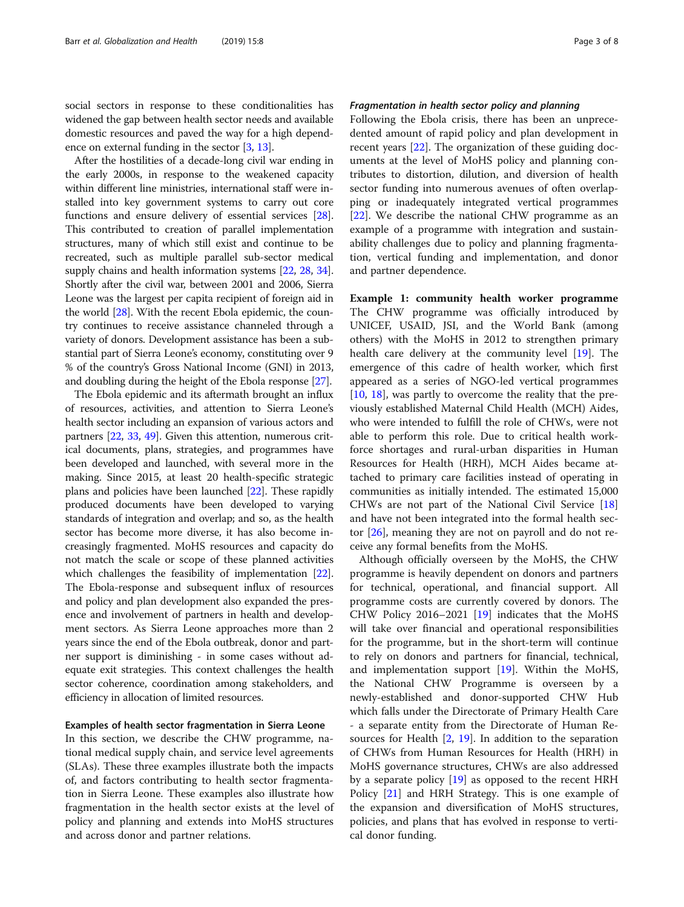social sectors in response to these conditionalities has widened the gap between health sector needs and available domestic resources and paved the way for a high dependence on external funding in the sector [\[3](#page-6-0), [13\]](#page-6-0).

After the hostilities of a decade-long civil war ending in the early 2000s, in response to the weakened capacity within different line ministries, international staff were installed into key government systems to carry out core functions and ensure delivery of essential services [[28](#page-7-0)]. This contributed to creation of parallel implementation structures, many of which still exist and continue to be recreated, such as multiple parallel sub-sector medical supply chains and health information systems [\[22,](#page-6-0) [28,](#page-7-0) [34](#page-7-0)]. Shortly after the civil war, between 2001 and 2006, Sierra Leone was the largest per capita recipient of foreign aid in the world [\[28\]](#page-7-0). With the recent Ebola epidemic, the country continues to receive assistance channeled through a variety of donors. Development assistance has been a substantial part of Sierra Leone's economy, constituting over 9 % of the country's Gross National Income (GNI) in 2013, and doubling during the height of the Ebola response [\[27\]](#page-7-0).

The Ebola epidemic and its aftermath brought an influx of resources, activities, and attention to Sierra Leone's health sector including an expansion of various actors and partners [\[22,](#page-6-0) [33,](#page-7-0) [49\]](#page-7-0). Given this attention, numerous critical documents, plans, strategies, and programmes have been developed and launched, with several more in the making. Since 2015, at least 20 health-specific strategic plans and policies have been launched [\[22\]](#page-6-0). These rapidly produced documents have been developed to varying standards of integration and overlap; and so, as the health sector has become more diverse, it has also become increasingly fragmented. MoHS resources and capacity do not match the scale or scope of these planned activities which challenges the feasibility of implementation [[22](#page-6-0)]. The Ebola-response and subsequent influx of resources and policy and plan development also expanded the presence and involvement of partners in health and development sectors. As Sierra Leone approaches more than 2 years since the end of the Ebola outbreak, donor and partner support is diminishing - in some cases without adequate exit strategies. This context challenges the health sector coherence, coordination among stakeholders, and efficiency in allocation of limited resources.

#### Examples of health sector fragmentation in Sierra Leone

In this section, we describe the CHW programme, national medical supply chain, and service level agreements (SLAs). These three examples illustrate both the impacts of, and factors contributing to health sector fragmentation in Sierra Leone. These examples also illustrate how fragmentation in the health sector exists at the level of policy and planning and extends into MoHS structures and across donor and partner relations.

# Fragmentation in health sector policy and planning

Following the Ebola crisis, there has been an unprecedented amount of rapid policy and plan development in recent years [\[22](#page-6-0)]. The organization of these guiding documents at the level of MoHS policy and planning contributes to distortion, dilution, and diversion of health sector funding into numerous avenues of often overlapping or inadequately integrated vertical programmes [[22\]](#page-6-0). We describe the national CHW programme as an example of a programme with integration and sustainability challenges due to policy and planning fragmentation, vertical funding and implementation, and donor and partner dependence.

Example 1: community health worker programme The CHW programme was officially introduced by UNICEF, USAID, JSI, and the World Bank (among others) with the MoHS in 2012 to strengthen primary health care delivery at the community level [\[19](#page-6-0)]. The emergence of this cadre of health worker, which first appeared as a series of NGO-led vertical programmes [[10,](#page-6-0) [18](#page-6-0)], was partly to overcome the reality that the previously established Maternal Child Health (MCH) Aides, who were intended to fulfill the role of CHWs, were not able to perform this role. Due to critical health workforce shortages and rural-urban disparities in Human Resources for Health (HRH), MCH Aides became attached to primary care facilities instead of operating in communities as initially intended. The estimated 15,000 CHWs are not part of the National Civil Service [[18](#page-6-0)] and have not been integrated into the formal health sector [\[26\]](#page-7-0), meaning they are not on payroll and do not receive any formal benefits from the MoHS.

Although officially overseen by the MoHS, the CHW programme is heavily dependent on donors and partners for technical, operational, and financial support. All programme costs are currently covered by donors. The CHW Policy 2016–2021 [[19](#page-6-0)] indicates that the MoHS will take over financial and operational responsibilities for the programme, but in the short-term will continue to rely on donors and partners for financial, technical, and implementation support [[19\]](#page-6-0). Within the MoHS, the National CHW Programme is overseen by a newly-established and donor-supported CHW Hub which falls under the Directorate of Primary Health Care - a separate entity from the Directorate of Human Resources for Health [[2](#page-6-0), [19](#page-6-0)]. In addition to the separation of CHWs from Human Resources for Health (HRH) in MoHS governance structures, CHWs are also addressed by a separate policy [[19\]](#page-6-0) as opposed to the recent HRH Policy [[21\]](#page-6-0) and HRH Strategy. This is one example of the expansion and diversification of MoHS structures, policies, and plans that has evolved in response to vertical donor funding.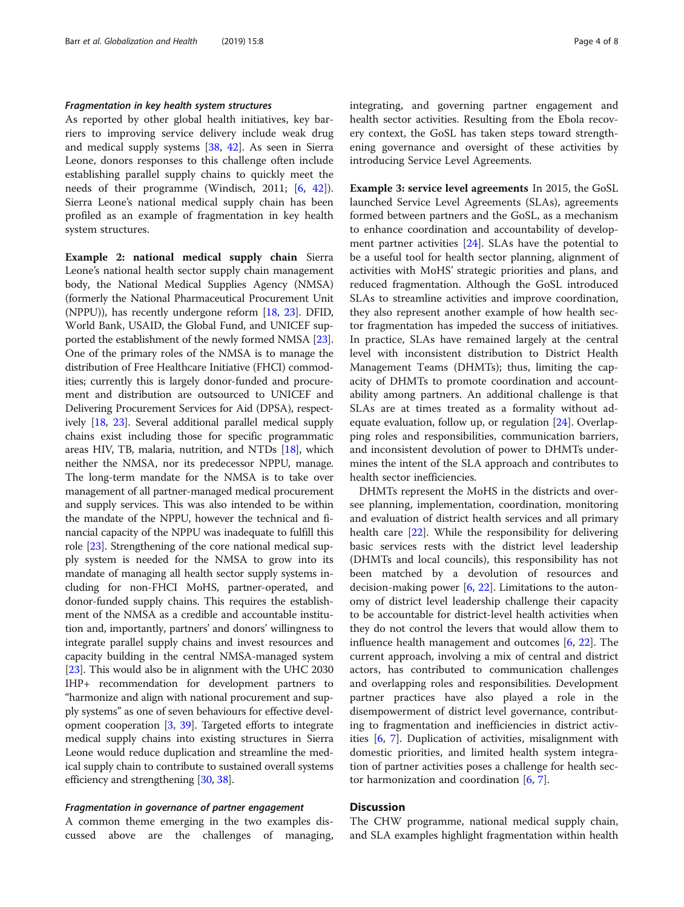#### Fragmentation in key health system structures

As reported by other global health initiatives, key barriers to improving service delivery include weak drug and medical supply systems [[38](#page-7-0), [42\]](#page-7-0). As seen in Sierra Leone, donors responses to this challenge often include establishing parallel supply chains to quickly meet the needs of their programme (Windisch, 2011; [\[6](#page-6-0), [42](#page-7-0)]). Sierra Leone's national medical supply chain has been profiled as an example of fragmentation in key health system structures.

Example 2: national medical supply chain Sierra Leone's national health sector supply chain management body, the National Medical Supplies Agency (NMSA) (formerly the National Pharmaceutical Procurement Unit (NPPU)), has recently undergone reform [[18](#page-6-0), [23](#page-6-0)]. DFID, World Bank, USAID, the Global Fund, and UNICEF supported the establishment of the newly formed NMSA [[23](#page-6-0)]. One of the primary roles of the NMSA is to manage the distribution of Free Healthcare Initiative (FHCI) commodities; currently this is largely donor-funded and procurement and distribution are outsourced to UNICEF and Delivering Procurement Services for Aid (DPSA), respectively [\[18,](#page-6-0) [23](#page-6-0)]. Several additional parallel medical supply chains exist including those for specific programmatic areas HIV, TB, malaria, nutrition, and NTDs [[18\]](#page-6-0), which neither the NMSA, nor its predecessor NPPU, manage. The long-term mandate for the NMSA is to take over management of all partner-managed medical procurement and supply services. This was also intended to be within the mandate of the NPPU, however the technical and financial capacity of the NPPU was inadequate to fulfill this role [\[23\]](#page-6-0). Strengthening of the core national medical supply system is needed for the NMSA to grow into its mandate of managing all health sector supply systems including for non-FHCI MoHS, partner-operated, and donor-funded supply chains. This requires the establishment of the NMSA as a credible and accountable institution and, importantly, partners' and donors' willingness to integrate parallel supply chains and invest resources and capacity building in the central NMSA-managed system [[23](#page-6-0)]. This would also be in alignment with the UHC 2030 IHP+ recommendation for development partners to "harmonize and align with national procurement and supply systems" as one of seven behaviours for effective development cooperation [\[3,](#page-6-0) [39](#page-7-0)]. Targeted efforts to integrate medical supply chains into existing structures in Sierra Leone would reduce duplication and streamline the medical supply chain to contribute to sustained overall systems efficiency and strengthening [[30](#page-7-0), [38\]](#page-7-0).

#### Fragmentation in governance of partner engagement

A common theme emerging in the two examples discussed above are the challenges of managing, integrating, and governing partner engagement and health sector activities. Resulting from the Ebola recovery context, the GoSL has taken steps toward strengthening governance and oversight of these activities by introducing Service Level Agreements.

Example 3: service level agreements In 2015, the GoSL launched Service Level Agreements (SLAs), agreements formed between partners and the GoSL, as a mechanism to enhance coordination and accountability of development partner activities [\[24](#page-6-0)]. SLAs have the potential to be a useful tool for health sector planning, alignment of activities with MoHS' strategic priorities and plans, and reduced fragmentation. Although the GoSL introduced SLAs to streamline activities and improve coordination, they also represent another example of how health sector fragmentation has impeded the success of initiatives. In practice, SLAs have remained largely at the central level with inconsistent distribution to District Health Management Teams (DHMTs); thus, limiting the capacity of DHMTs to promote coordination and accountability among partners. An additional challenge is that SLAs are at times treated as a formality without adequate evaluation, follow up, or regulation [\[24](#page-6-0)]. Overlapping roles and responsibilities, communication barriers, and inconsistent devolution of power to DHMTs undermines the intent of the SLA approach and contributes to health sector inefficiencies.

DHMTs represent the MoHS in the districts and oversee planning, implementation, coordination, monitoring and evaluation of district health services and all primary health care [\[22](#page-6-0)]. While the responsibility for delivering basic services rests with the district level leadership (DHMTs and local councils), this responsibility has not been matched by a devolution of resources and decision-making power [[6](#page-6-0), [22](#page-6-0)]. Limitations to the autonomy of district level leadership challenge their capacity to be accountable for district-level health activities when they do not control the levers that would allow them to influence health management and outcomes [[6,](#page-6-0) [22\]](#page-6-0). The current approach, involving a mix of central and district actors, has contributed to communication challenges and overlapping roles and responsibilities. Development partner practices have also played a role in the disempowerment of district level governance, contributing to fragmentation and inefficiencies in district activities [[6,](#page-6-0) [7\]](#page-6-0). Duplication of activities, misalignment with domestic priorities, and limited health system integration of partner activities poses a challenge for health sector harmonization and coordination [[6](#page-6-0), [7](#page-6-0)].

# **Discussion**

The CHW programme, national medical supply chain, and SLA examples highlight fragmentation within health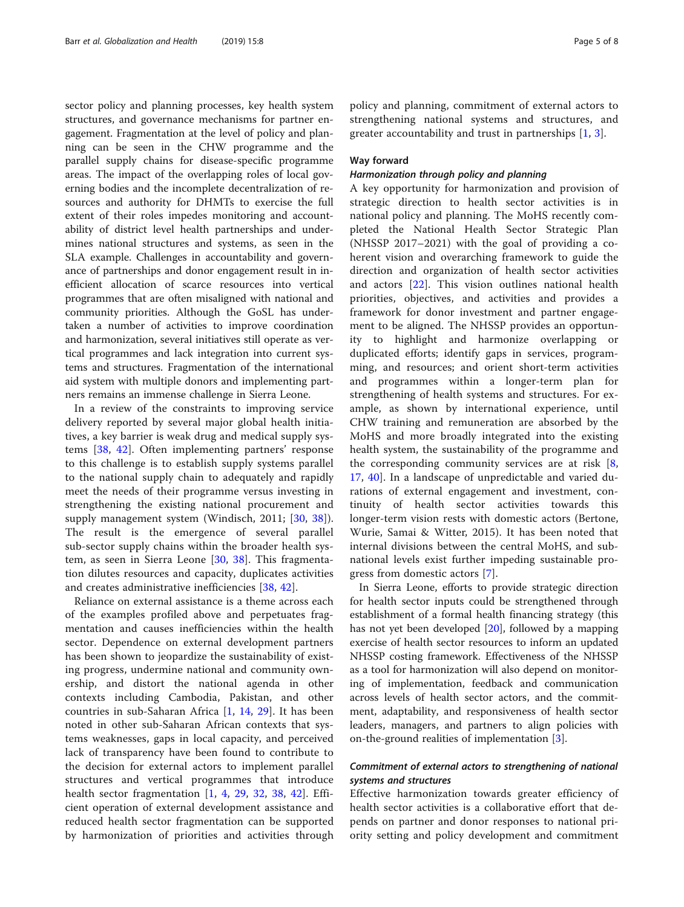sector policy and planning processes, key health system structures, and governance mechanisms for partner engagement. Fragmentation at the level of policy and planning can be seen in the CHW programme and the parallel supply chains for disease-specific programme areas. The impact of the overlapping roles of local governing bodies and the incomplete decentralization of resources and authority for DHMTs to exercise the full extent of their roles impedes monitoring and accountability of district level health partnerships and undermines national structures and systems, as seen in the SLA example. Challenges in accountability and governance of partnerships and donor engagement result in inefficient allocation of scarce resources into vertical programmes that are often misaligned with national and community priorities. Although the GoSL has undertaken a number of activities to improve coordination and harmonization, several initiatives still operate as vertical programmes and lack integration into current systems and structures. Fragmentation of the international aid system with multiple donors and implementing partners remains an immense challenge in Sierra Leone.

In a review of the constraints to improving service delivery reported by several major global health initiatives, a key barrier is weak drug and medical supply systems [[38,](#page-7-0) [42\]](#page-7-0). Often implementing partners' response to this challenge is to establish supply systems parallel to the national supply chain to adequately and rapidly meet the needs of their programme versus investing in strengthening the existing national procurement and supply management system (Windisch, 2011; [[30,](#page-7-0) [38\]](#page-7-0)). The result is the emergence of several parallel sub-sector supply chains within the broader health sys-tem, as seen in Sierra Leone [[30,](#page-7-0) [38\]](#page-7-0). This fragmentation dilutes resources and capacity, duplicates activities and creates administrative inefficiencies [[38,](#page-7-0) [42](#page-7-0)].

Reliance on external assistance is a theme across each of the examples profiled above and perpetuates fragmentation and causes inefficiencies within the health sector. Dependence on external development partners has been shown to jeopardize the sustainability of existing progress, undermine national and community ownership, and distort the national agenda in other contexts including Cambodia, Pakistan, and other countries in sub-Saharan Africa [[1,](#page-6-0) [14](#page-6-0), [29](#page-7-0)]. It has been noted in other sub-Saharan African contexts that systems weaknesses, gaps in local capacity, and perceived lack of transparency have been found to contribute to the decision for external actors to implement parallel structures and vertical programmes that introduce health sector fragmentation [[1,](#page-6-0) [4](#page-6-0), [29](#page-7-0), [32,](#page-7-0) [38,](#page-7-0) [42](#page-7-0)]. Efficient operation of external development assistance and reduced health sector fragmentation can be supported by harmonization of priorities and activities through

policy and planning, commitment of external actors to strengthening national systems and structures, and greater accountability and trust in partnerships [[1,](#page-6-0) [3\]](#page-6-0).

### Way forward

## Harmonization through policy and planning

A key opportunity for harmonization and provision of strategic direction to health sector activities is in national policy and planning. The MoHS recently completed the National Health Sector Strategic Plan (NHSSP 2017–2021) with the goal of providing a coherent vision and overarching framework to guide the direction and organization of health sector activities and actors [[22\]](#page-6-0). This vision outlines national health priorities, objectives, and activities and provides a framework for donor investment and partner engagement to be aligned. The NHSSP provides an opportunity to highlight and harmonize overlapping or duplicated efforts; identify gaps in services, programming, and resources; and orient short-term activities and programmes within a longer-term plan for strengthening of health systems and structures. For example, as shown by international experience, until CHW training and remuneration are absorbed by the MoHS and more broadly integrated into the existing health system, the sustainability of the programme and the corresponding community services are at risk  $[8, 8]$  $[8, 8]$ [17,](#page-6-0) [40\]](#page-7-0). In a landscape of unpredictable and varied durations of external engagement and investment, continuity of health sector activities towards this longer-term vision rests with domestic actors (Bertone, Wurie, Samai & Witter, 2015). It has been noted that internal divisions between the central MoHS, and subnational levels exist further impeding sustainable progress from domestic actors [\[7](#page-6-0)].

In Sierra Leone, efforts to provide strategic direction for health sector inputs could be strengthened through establishment of a formal health financing strategy (this has not yet been developed [\[20\]](#page-6-0), followed by a mapping exercise of health sector resources to inform an updated NHSSP costing framework. Effectiveness of the NHSSP as a tool for harmonization will also depend on monitoring of implementation, feedback and communication across levels of health sector actors, and the commitment, adaptability, and responsiveness of health sector leaders, managers, and partners to align policies with on-the-ground realities of implementation [[3\]](#page-6-0).

# Commitment of external actors to strengthening of national systems and structures

Effective harmonization towards greater efficiency of health sector activities is a collaborative effort that depends on partner and donor responses to national priority setting and policy development and commitment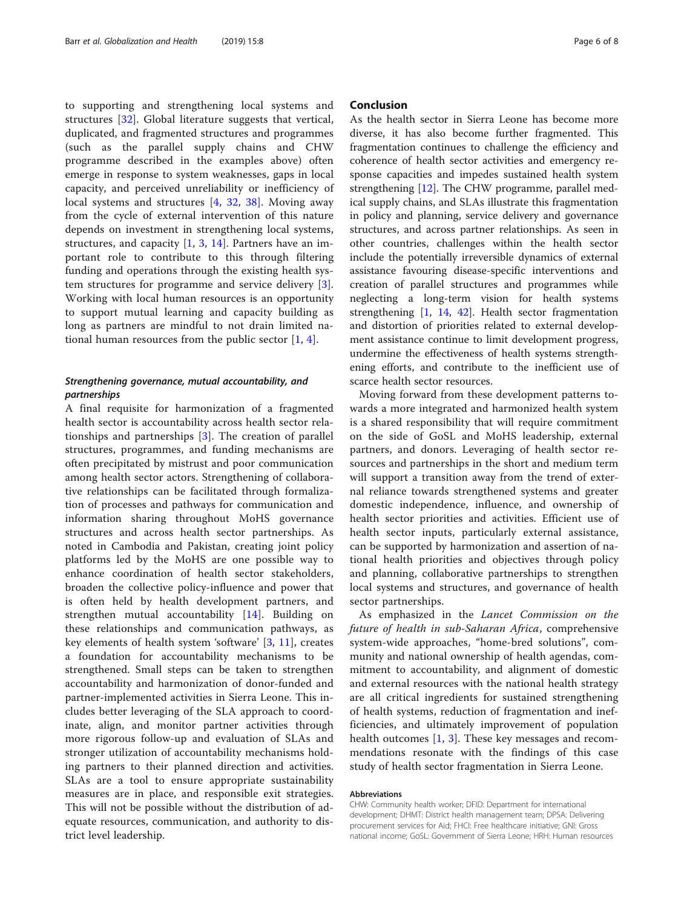to supporting and strengthening local systems and structures [[32\]](#page-7-0). Global literature suggests that vertical, duplicated, and fragmented structures and programmes (such as the parallel supply chains and CHW programme described in the examples above) often emerge in response to system weaknesses, gaps in local capacity, and perceived unreliability or inefficiency of local systems and structures [[4,](#page-6-0) [32](#page-7-0), [38](#page-7-0)]. Moving away from the cycle of external intervention of this nature depends on investment in strengthening local systems, structures, and capacity  $[1, 3, 14]$  $[1, 3, 14]$  $[1, 3, 14]$  $[1, 3, 14]$  $[1, 3, 14]$  $[1, 3, 14]$ . Partners have an important role to contribute to this through filtering funding and operations through the existing health system structures for programme and service delivery [\[3](#page-6-0)]. Working with local human resources is an opportunity to support mutual learning and capacity building as long as partners are mindful to not drain limited national human resources from the public sector  $[1, 4]$  $[1, 4]$  $[1, 4]$  $[1, 4]$  $[1, 4]$ .

# Strengthening governance, mutual accountability, and partnerships

A final requisite for harmonization of a fragmented health sector is accountability across health sector relationships and partnerships [[3](#page-6-0)]. The creation of parallel structures, programmes, and funding mechanisms are often precipitated by mistrust and poor communication among health sector actors. Strengthening of collaborative relationships can be facilitated through formalization of processes and pathways for communication and information sharing throughout MoHS governance structures and across health sector partnerships. As noted in Cambodia and Pakistan, creating joint policy platforms led by the MoHS are one possible way to enhance coordination of health sector stakeholders, broaden the collective policy-influence and power that is often held by health development partners, and strengthen mutual accountability [[14\]](#page-6-0). Building on these relationships and communication pathways, as key elements of health system 'software' [\[3](#page-6-0), [11\]](#page-6-0), creates a foundation for accountability mechanisms to be strengthened. Small steps can be taken to strengthen accountability and harmonization of donor-funded and partner-implemented activities in Sierra Leone. This includes better leveraging of the SLA approach to coordinate, align, and monitor partner activities through more rigorous follow-up and evaluation of SLAs and stronger utilization of accountability mechanisms holding partners to their planned direction and activities. SLAs are a tool to ensure appropriate sustainability measures are in place, and responsible exit strategies. This will not be possible without the distribution of adequate resources, communication, and authority to district level leadership.

## Conclusion

As the health sector in Sierra Leone has become more diverse, it has also become further fragmented. This fragmentation continues to challenge the efficiency and coherence of health sector activities and emergency response capacities and impedes sustained health system strengthening [\[12\]](#page-6-0). The CHW programme, parallel medical supply chains, and SLAs illustrate this fragmentation in policy and planning, service delivery and governance structures, and across partner relationships. As seen in other countries, challenges within the health sector include the potentially irreversible dynamics of external assistance favouring disease-specific interventions and creation of parallel structures and programmes while neglecting a long-term vision for health systems strengthening [\[1](#page-6-0), [14](#page-6-0), [42](#page-7-0)]. Health sector fragmentation and distortion of priorities related to external development assistance continue to limit development progress, undermine the effectiveness of health systems strengthening efforts, and contribute to the inefficient use of scarce health sector resources.

Moving forward from these development patterns towards a more integrated and harmonized health system is a shared responsibility that will require commitment on the side of GoSL and MoHS leadership, external partners, and donors. Leveraging of health sector resources and partnerships in the short and medium term will support a transition away from the trend of external reliance towards strengthened systems and greater domestic independence, influence, and ownership of health sector priorities and activities. Efficient use of health sector inputs, particularly external assistance, can be supported by harmonization and assertion of national health priorities and objectives through policy and planning, collaborative partnerships to strengthen local systems and structures, and governance of health sector partnerships.

As emphasized in the Lancet Commission on the future of health in sub-Saharan Africa, comprehensive system-wide approaches, "home-bred solutions", community and national ownership of health agendas, commitment to accountability, and alignment of domestic and external resources with the national health strategy are all critical ingredients for sustained strengthening of health systems, reduction of fragmentation and inefficiencies, and ultimately improvement of population health outcomes [[1](#page-6-0), [3](#page-6-0)]. These key messages and recommendations resonate with the findings of this case study of health sector fragmentation in Sierra Leone.

#### Abbreviations

CHW: Community health worker; DFID: Department for international development; DHMT: District health management team; DPSA: Delivering procurement services for Aid; FHCI: Free healthcare initiative; GNI: Gross national income; GoSL: Government of Sierra Leone; HRH: Human resources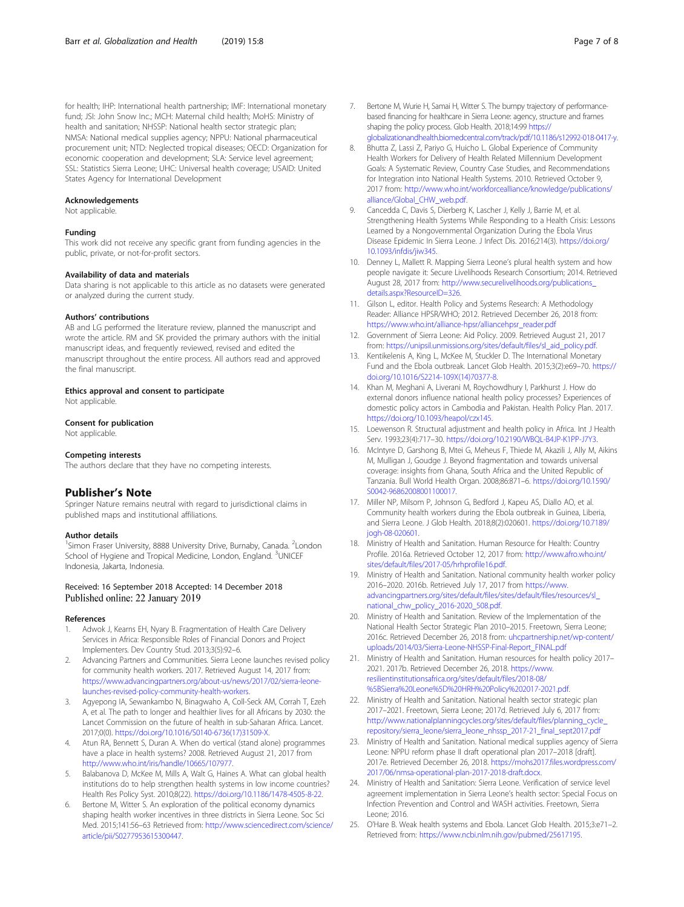<span id="page-6-0"></span>for health; IHP: International health partnership; IMF: International monetary fund; JSI: John Snow Inc.; MCH: Maternal child health; MoHS: Ministry of health and sanitation; NHSSP: National health sector strategic plan; NMSA: National medical supplies agency; NPPU: National pharmaceutical procurement unit; NTD: Neglected tropical diseases; OECD: Organization for economic cooperation and development; SLA: Service level agreement; SSL: Statistics Sierra Leone; UHC: Universal health coverage; USAID: United States Agency for International Development

#### Acknowledgements

Not applicable.

#### Funding

This work did not receive any specific grant from funding agencies in the public, private, or not-for-profit sectors.

#### Availability of data and materials

Data sharing is not applicable to this article as no datasets were generated or analyzed during the current study.

#### Authors' contributions

AB and LG performed the literature review, planned the manuscript and wrote the article. RM and SK provided the primary authors with the initial manuscript ideas, and frequently reviewed, revised and edited the manuscript throughout the entire process. All authors read and approved the final manuscript.

#### Ethics approval and consent to participate

Not applicable.

#### Consent for publication

Not applicable.

#### Competing interests

The authors declare that they have no competing interests.

#### Publisher's Note

Springer Nature remains neutral with regard to jurisdictional claims in published maps and institutional affiliations.

#### Author details

<sup>1</sup>Simon Fraser University, 8888 University Drive, Burnaby, Canada. <sup>2</sup>London School of Hygiene and Tropical Medicine, London, England. <sup>3</sup>UNICEF Indonesia, Jakarta, Indonesia.

#### Received: 16 September 2018 Accepted: 14 December 2018 Published online: 22 January 2019

#### References

- 1. Adwok J, Kearns EH, Nyary B. Fragmentation of Health Care Delivery Services in Africa: Responsible Roles of Financial Donors and Project Implementers. Dev Country Stud. 2013;3(5):92–6.
- 2. Advancing Partners and Communities. Sierra Leone launches revised policy for community health workers. 2017. Retrieved August 14, 2017 from: [https://www.advancingpartners.org/about-us/news/2017/02/sierra-leone](https://www.advancingpartners.org/about-us/news/2017/02/sierra-leone-launches-revised-policy-community-health-workers)[launches-revised-policy-community-health-workers.](https://www.advancingpartners.org/about-us/news/2017/02/sierra-leone-launches-revised-policy-community-health-workers)
- 3. Agyepong IA, Sewankambo N, Binagwaho A, Coll-Seck AM, Corrah T, Ezeh A, et al. The path to longer and healthier lives for all Africans by 2030: the Lancet Commission on the future of health in sub-Saharan Africa. Lancet. 2017;0(0). [https://doi.org/10.1016/S0140-6736\(17\)31509-X.](https://doi.org/10.1016/S0140-6736(17)31509-X)
- 4. Atun RA, Bennett S, Duran A. When do vertical (stand alone) programmes have a place in health systems? 2008. Retrieved August 21, 2017 from <http://www.who.int/iris/handle/10665/107977>.
- 5. Balabanova D, McKee M, Mills A, Walt G, Haines A. What can global health institutions do to help strengthen health systems in low income countries? Health Res Policy Syst. 2010;8(22). <https://doi.org/10.1186/1478-4505-8-22>.
- Bertone M, Witter S. An exploration of the political economy dynamics shaping health worker incentives in three districts in Sierra Leone. Soc Sci Med. 2015;141:56–63 Retrieved from: [http://www.sciencedirect.com/science/](http://www.sciencedirect.com/science/article/pii/S0277953615300447) [article/pii/S0277953615300447](http://www.sciencedirect.com/science/article/pii/S0277953615300447).
- 7. Bertone M, Wurie H, Samai H, Witter S. The bumpy trajectory of performancebased financing for healthcare in Sierra Leone: agency, structure and frames shaping the policy process. Glob Health. 2018;14:99 [https://](https://globalizationandhealth.biomedcentral.com/track/pdf/10.1186/s12992-018-0417-y) [globalizationandhealth.biomedcentral.com/track/pdf/10.1186/s12992-018-0417-y](https://globalizationandhealth.biomedcentral.com/track/pdf/10.1186/s12992-018-0417-y).
- 8. Bhutta Z, Lassi Z, Pariyo G, Huicho L. Global Experience of Community Health Workers for Delivery of Health Related Millennium Development Goals: A Systematic Review, Country Case Studies, and Recommendations for Integration into National Health Systems. 2010. Retrieved October 9, 2017 from: [http://www.who.int/workforcealliance/knowledge/publications/](http://www.who.int/workforcealliance/knowledge/publications/alliance/Global_CHW_web.pdf) [alliance/Global\\_CHW\\_web.pdf.](http://www.who.int/workforcealliance/knowledge/publications/alliance/Global_CHW_web.pdf)
- 9. Cancedda C, Davis S, Dierberg K, Lascher J, Kelly J, Barrie M, et al. Strengthening Health Systems While Responding to a Health Crisis: Lessons Learned by a Nongovernmental Organization During the Ebola Virus Disease Epidemic In Sierra Leone. J Infect Dis. 2016;214(3). [https://doi.org/](https://doi.org/10.1093/infdis/jiw345) [10.1093/infdis/jiw345.](https://doi.org/10.1093/infdis/jiw345)
- 10. Denney L, Mallett R. Mapping Sierra Leone's plural health system and how people navigate it: Secure Livelihoods Research Consortium; 2014. Retrieved August 28, 2017 from: http://www.securelivelihoods.org/publications [details.aspx?ResourceID=326.](http://www.securelivelihoods.org/publications_details.aspx?ResourceID=326)
- 11. Gilson L, editor. Health Policy and Systems Research: A Methodology Reader: Alliance HPSR/WHO; 2012. Retrieved December 26, 2018 from: [https://www.who.int/alliance-hpsr/alliancehpsr\\_reader.pdf](https://www.who.int/alliance-hpsr/alliancehpsr_reader.pdf)
- 12. Government of Sierra Leone: Aid Policy. 2009. Retrieved August 21, 2017 from: [https://unipsil.unmissions.org/sites/default/files/sl\\_aid\\_policy.pdf](https://unipsil.unmissions.org/sites/default/files/sl_aid_policy.pdf).
- 13. Kentikelenis A, King L, McKee M, Stuckler D. The International Monetary Fund and the Ebola outbreak. Lancet Glob Health. 2015;3(2):e69–70. [https://](https://doi.org/10.1016/S2214-109X(14)70377-8) [doi.org/10.1016/S2214-109X\(14\)70377-8.](https://doi.org/10.1016/S2214-109X(14)70377-8)
- 14. Khan M, Meghani A, Liverani M, Roychowdhury I, Parkhurst J. How do external donors influence national health policy processes? Experiences of domestic policy actors in Cambodia and Pakistan. Health Policy Plan. 2017. <https://doi.org/10.1093/heapol/czx145>.
- 15. Loewenson R. Structural adjustment and health policy in Africa. Int J Health Serv. 1993;23(4):717–30. <https://doi.org/10.2190/WBQL-B4JP-K1PP-J7Y3>.
- 16. McIntyre D, Garshong B, Mtei G, Meheus F, Thiede M, Akazili J, Ally M, Aikins M, Mulligan J, Goudge J. Beyond fragmentation and towards universal coverage: insights from Ghana, South Africa and the United Republic of Tanzania. Bull World Health Organ. 2008;86:871–6. [https://doi.org/10.1590/](https://doi.org/10.1590/S0042-96862008001100017) [S0042-96862008001100017.](https://doi.org/10.1590/S0042-96862008001100017)
- 17. Miller NP, Milsom P, Johnson G, Bedford J, Kapeu AS, Diallo AO, et al. Community health workers during the Ebola outbreak in Guinea, Liberia, and Sierra Leone. J Glob Health. 2018;8(2):020601. [https://doi.org/10.7189/](https://doi.org/10.7189/jogh-08-020601) [jogh-08-020601](https://doi.org/10.7189/jogh-08-020601).
- 18. Ministry of Health and Sanitation. Human Resource for Health: Country Profile. 2016a. Retrieved October 12, 2017 from: [http://www.afro.who.int/](http://www.afro.who.int/sites/default/files/2017-05/hrhprofile16.pdf) [sites/default/files/2017-05/hrhprofile16.pdf.](http://www.afro.who.int/sites/default/files/2017-05/hrhprofile16.pdf)
- 19. Ministry of Health and Sanitation. National community health worker policy 2016–2020. 2016b. Retrieved July 17, 2017 from [https://www.](https://www.advancingpartners.org/sites/default/files/sites/default/files/resources/sl_national_chw_policy_2016-2020_508.pdf) [advancingpartners.org/sites/default/files/sites/default/files/resources/sl\\_](https://www.advancingpartners.org/sites/default/files/sites/default/files/resources/sl_national_chw_policy_2016-2020_508.pdf) [national\\_chw\\_policy\\_2016-2020\\_508.pdf](https://www.advancingpartners.org/sites/default/files/sites/default/files/resources/sl_national_chw_policy_2016-2020_508.pdf).
- 20. Ministry of Health and Sanitation. Review of the Implementation of the National Health Sector Strategic Plan 2010–2015. Freetown, Sierra Leone; 2016c. Retrieved December 26, 2018 from: [uhcpartnership.net/wp-content/](http://uhcpartnership.net/wp-content/uploads/2014/03/Sierra-Leone-NHSSP-Final-Report_FINAL.pdf) [uploads/2014/03/Sierra-Leone-NHSSP-Final-Report\\_FINAL.pdf](http://uhcpartnership.net/wp-content/uploads/2014/03/Sierra-Leone-NHSSP-Final-Report_FINAL.pdf)
- 21. Ministry of Health and Sanitation. Human resources for health policy 2017– 2021. 2017b. Retrieved December 26, 2018. [https://www.](https://www.resilientinstitutionsafrica.org/sites/default/files/2018-08/%5BSierra%20Leone%5D%20HRH%20Policy%202017-2021.pdf) [resilientinstitutionsafrica.org/sites/default/files/2018-08/](https://www.resilientinstitutionsafrica.org/sites/default/files/2018-08/%5BSierra%20Leone%5D%20HRH%20Policy%202017-2021.pdf) [%5BSierra%20Leone%5D%20HRH%20Policy%202017-2021.pdf](https://www.resilientinstitutionsafrica.org/sites/default/files/2018-08/%5BSierra%20Leone%5D%20HRH%20Policy%202017-2021.pdf).
- 22. Ministry of Health and Sanitation. National health sector strategic plan 2017–2021. Freetown, Sierra Leone; 2017d. Retrieved July 6, 2017 from: [http://www.nationalplanningcycles.org/sites/default/files/planning\\_cycle\\_](http://www.nationalplanningcycles.org/sites/default/files/planning_cycle_repository/sierra_leone/sierra_leone_nhssp_2017-21_final_sept2017.pdf) [repository/sierra\\_leone/sierra\\_leone\\_nhssp\\_2017-21\\_final\\_sept2017.pdf](http://www.nationalplanningcycles.org/sites/default/files/planning_cycle_repository/sierra_leone/sierra_leone_nhssp_2017-21_final_sept2017.pdf)
- 23. Ministry of Health and Sanitation. National medical supplies agency of Sierra Leone: NPPU reform phase II draft operational plan 2017–2018 [draft]. 2017e. Retrieved December 26, 2018. [https://mohs2017.files.wordpress.com/](https://mohs2017.files.wordpress.com/2017/06/nmsa-operational-plan-2017-2018-draft.docx) [2017/06/nmsa-operational-plan-2017-2018-draft.docx.](https://mohs2017.files.wordpress.com/2017/06/nmsa-operational-plan-2017-2018-draft.docx)
- 24. Ministry of Health and Sanitation: Sierra Leone. Verification of service level agreement implementation in Sierra Leone's health sector: Special Focus on Infection Prevention and Control and WASH activities. Freetown, Sierra Leone; 2016.
- 25. O'Hare B. Weak health systems and Ebola. Lancet Glob Health. 2015;3:e71–2. Retrieved from: [https://www.ncbi.nlm.nih.gov/pubmed/25617195.](https://www.ncbi.nlm.nih.gov/pubmed/25617195)